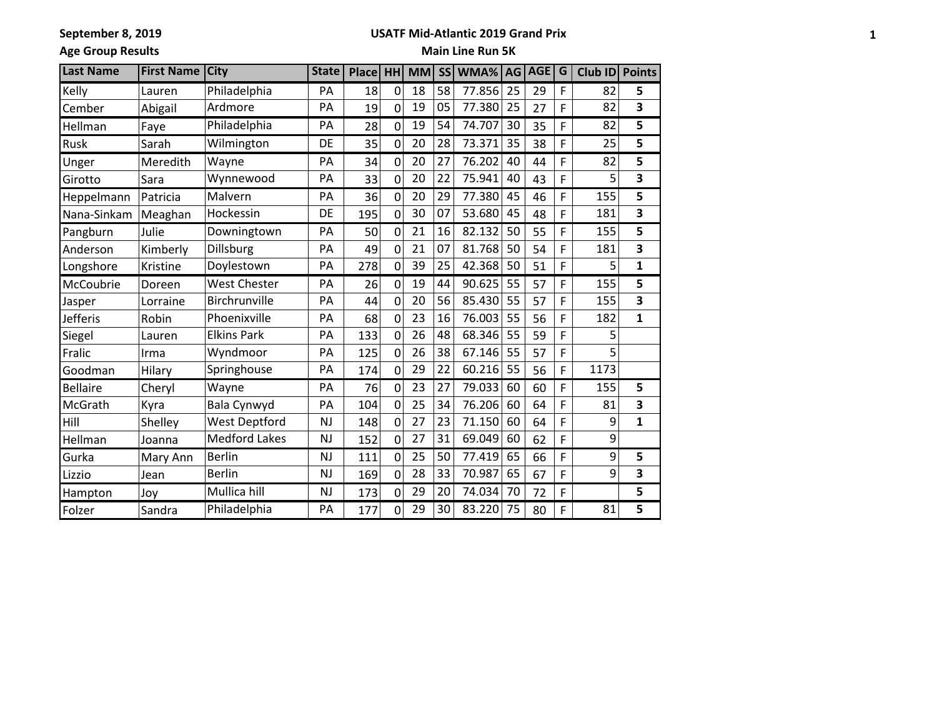**September 8, 2019**

### **USATF Mid-Atlantic 2019 Grand Prix**

**Age Group Results**

# **Main Line Run 5K**

| <b>Last Name</b> | <b>First Name</b> | <b>City</b>          | <b>State</b> | <b>Place</b> | <b>HH</b>      |                 |    | MM SS WMA% AG |    | AGE | G | Club ID   Points |                         |
|------------------|-------------------|----------------------|--------------|--------------|----------------|-----------------|----|---------------|----|-----|---|------------------|-------------------------|
| Kelly            | Lauren            | Philadelphia         | <b>PA</b>    | 18           | 0              | 18              | 58 | 77.856        | 25 | 29  | F | 82               | 5                       |
| Cember           | Abigail           | Ardmore              | PA           | 19           | $\overline{0}$ | 19              | 05 | 77.380        | 25 | 27  | F | 82               | 3                       |
| Hellman          | Faye              | Philadelphia         | PA           | 28           | $\mathbf 0$    | $\overline{19}$ | 54 | 74.707        | 30 | 35  | F | 82               | 5                       |
| Rusk             | Sarah             | Wilmington           | DE           | 35           | $\mathbf 0$    | 20              | 28 | 73.371        | 35 | 38  | F | 25               | 5                       |
| Unger            | Meredith          | Wayne                | PA           | 34           | $\mathbf 0$    | 20              | 27 | 76.202        | 40 | 44  | F | 82               | 5                       |
| Girotto          | Sara              | Wynnewood            | PA           | 33           | $\overline{0}$ | 20              | 22 | 75.941        | 40 | 43  | F | 5                | 3                       |
| Heppelmann       | Patricia          | Malvern              | PA           | 36           | $\mathbf 0$    | 20              | 29 | 77.380        | 45 | 46  | F | 155              | 5                       |
| Nana-Sinkam      | Meaghan           | Hockessin            | DE           | 195          | 0              | 30              | 07 | 53.680        | 45 | 48  | F | 181              | 3                       |
| Pangburn         | Julie             | Downingtown          | PA           | 50           | 0              | 21              | 16 | 82.132        | 50 | 55  | F | 155              | 5                       |
| Anderson         | Kimberly          | Dillsburg            | PA           | 49           | 0              | 21              | 07 | 81.768        | 50 | 54  | F | 181              | 3                       |
| Longshore        | Kristine          | Doylestown           | PA           | 278          | $\mathbf 0$    | 39              | 25 | 42.368        | 50 | 51  | F | 5                | $\mathbf{1}$            |
| McCoubrie        | Doreen            | <b>West Chester</b>  | PA           | 26           | $\mathbf 0$    | 19              | 44 | 90.625        | 55 | 57  | F | 155              | 5                       |
| Jasper           | Lorraine          | Birchrunville        | PA           | 44           | 0              | 20              | 56 | 85.430        | 55 | 57  | F | 155              | 3                       |
| Jefferis         | Robin             | Phoenixville         | PA           | 68           | 0              | 23              | 16 | 76.003        | 55 | 56  | F | 182              | $\mathbf{1}$            |
| Siegel           | Lauren            | <b>Elkins Park</b>   | PA           | 133          | 0              | 26              | 48 | 68.346        | 55 | 59  | F | 5                |                         |
| Fralic           | Irma              | Wyndmoor             | PA           | 125          | 0              | 26              | 38 | 67.146        | 55 | 57  | F | 5                |                         |
| Goodman          | Hilary            | Springhouse          | PA           | 174          | $\mathbf 0$    | 29              | 22 | 60.216        | 55 | 56  | F | 1173             |                         |
| <b>Bellaire</b>  | Cheryl            | Wayne                | PA           | 76           | $\mathbf 0$    | 23              | 27 | 79.033        | 60 | 60  | F | 155              | 5                       |
| McGrath          | Kyra              | Bala Cynwyd          | PA           | 104          | $\overline{0}$ | 25              | 34 | 76.206        | 60 | 64  | F | 81               | 3                       |
| Hill             | Shelley           | <b>West Deptford</b> | NJ           | 148          | 0              | 27              | 23 | 71.150        | 60 | 64  | F | 9                | $\mathbf{1}$            |
| Hellman          | Joanna            | <b>Medford Lakes</b> | NJ           | 152          | 0              | 27              | 31 | 69.049        | 60 | 62  | F | 9                |                         |
| Gurka            | Mary Ann          | <b>Berlin</b>        | NJ           | 111          | 0              | 25              | 50 | 77.419        | 65 | 66  | F | 9                | 5                       |
| Lizzio           | Jean              | <b>Berlin</b>        | NJ           | 169          | $\mathbf 0$    | 28              | 33 | 70.987        | 65 | 67  | F | 9                | $\overline{\mathbf{3}}$ |
| Hampton          | Joy               | Mullica hill         | <b>NJ</b>    | 173          | $\mathbf 0$    | $\overline{29}$ | 20 | 74.034        | 70 | 72  | F |                  | 5                       |
| Folzer           | Sandra            | Philadelphia         | PA           | 177          | 0              | 29              | 30 | 83.220        | 75 | 80  | F | 81               | 5                       |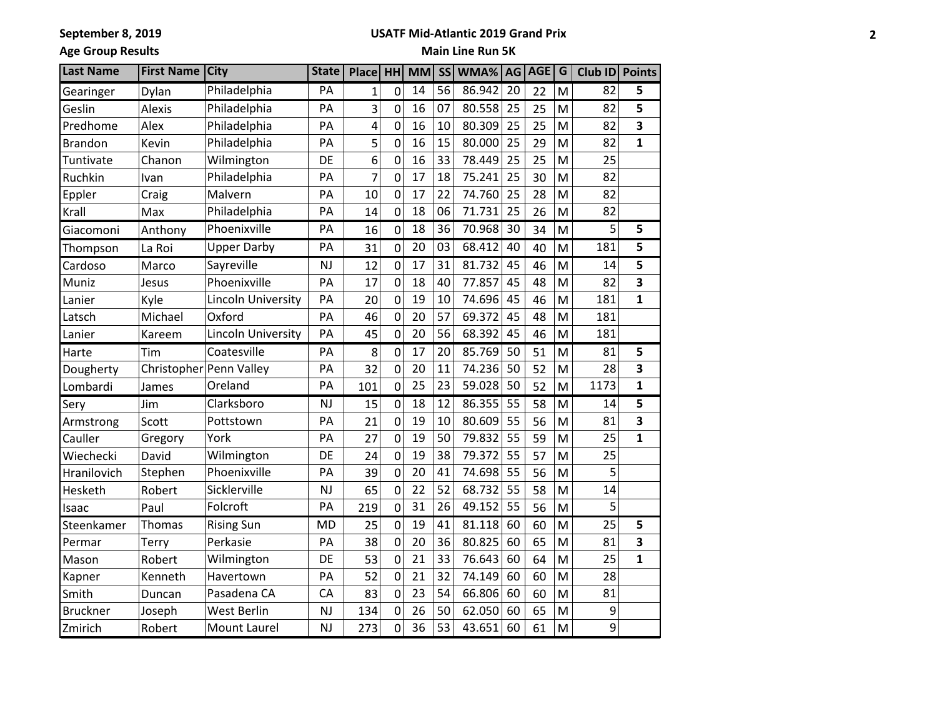**September 8, 2019**

### **USATF Mid-Atlantic 2019 Grand Prix**

**Age Group Results**

# **Main Line Run 5K**

| <b>Last Name</b> | <b>First Name City</b> |                           | <b>State</b> | <b>Place</b>   | <b>HH</b>      | <b>MM</b>       | <b>SS</b> | WMA%   | AG | AGE | G | Club ID Points |                         |
|------------------|------------------------|---------------------------|--------------|----------------|----------------|-----------------|-----------|--------|----|-----|---|----------------|-------------------------|
| Gearinger        | Dylan                  | Philadelphia              | PА           | 1              | 0              | 14              | 56        | 86.942 | 20 | 22  | M | 82             | 5                       |
| Geslin           | Alexis                 | Philadelphia              | PA           | 3              | 0              | 16              | 07        | 80.558 | 25 | 25  | M | 82             | 5                       |
| Predhome         | Alex                   | Philadelphia              | PA           | 4              | 0              | 16              | 10        | 80.309 | 25 | 25  | M | 82             | 3                       |
| <b>Brandon</b>   | Kevin                  | Philadelphia              | PA           | 5              | 0              | 16              | 15        | 80.000 | 25 | 29  | M | 82             | $\mathbf{1}$            |
| Tuntivate        | Chanon                 | Wilmington                | DE           | 6              | $\mathbf 0$    | 16              | 33        | 78.449 | 25 | 25  | M | 25             |                         |
| Ruchkin          | Ivan                   | Philadelphia              | PA           | $\overline{7}$ | 0              | 17              | 18        | 75.241 | 25 | 30  | M | 82             |                         |
| Eppler           | Craig                  | Malvern                   | PA           | 10             | $\overline{0}$ | 17              | 22        | 74.760 | 25 | 28  | M | 82             |                         |
| Krall            | Max                    | Philadelphia              | PA           | 14             | 0              | 18              | 06        | 71.731 | 25 | 26  | M | 82             |                         |
| Giacomoni        | Anthony                | Phoenixville              | PA           | 16             | 0              | 18              | 36        | 70.968 | 30 | 34  | M | 5              | 5                       |
| Thompson         | La Roi                 | <b>Upper Darby</b>        | PA           | 31             | $\overline{0}$ | $\overline{20}$ | 03        | 68.412 | 40 | 40  | M | 181            | 5                       |
| Cardoso          | Marco                  | Sayreville                | <b>NJ</b>    | 12             | 0              | 17              | 31        | 81.732 | 45 | 46  | M | 14             | 5                       |
| Muniz            | Jesus                  | Phoenixville              | PA           | 17             | 0              | 18              | 40        | 77.857 | 45 | 48  | M | 82             | 3                       |
| Lanier           | Kyle                   | Lincoln University        | PA           | 20             | 0              | 19              | 10        | 74.696 | 45 | 46  | M | 181            | $\mathbf{1}$            |
| Latsch           | Michael                | Oxford                    | PA           | 46             | 0              | 20              | 57        | 69.372 | 45 | 48  | M | 181            |                         |
| Lanier           | Kareem                 | <b>Lincoln University</b> | PA           | 45             | 0              | 20              | 56        | 68.392 | 45 | 46  | M | 181            |                         |
| Harte            | Tim                    | Coatesville               | PA           | 8              | 0              | 17              | 20        | 85.769 | 50 | 51  | M | 81             | 5                       |
| Dougherty        |                        | Christopher Penn Valley   | PA           | 32             | 0              | 20              | 11        | 74.236 | 50 | 52  | M | 28             | 3                       |
| Lombardi         | James                  | Oreland                   | PA           | 101            | $\overline{0}$ | 25              | 23        | 59.028 | 50 | 52  | M | 1173           | $\mathbf{1}$            |
| Sery             | Jim                    | Clarksboro                | <b>NJ</b>    | 15             | 0              | 18              | 12        | 86.355 | 55 | 58  | M | 14             | 5                       |
| Armstrong        | Scott                  | Pottstown                 | PA           | 21             | 0              | 19              | 10        | 80.609 | 55 | 56  | M | 81             | 3                       |
| Cauller          | Gregory                | York                      | PA           | 27             | 0              | 19              | 50        | 79.832 | 55 | 59  | M | 25             | $\mathbf{1}$            |
| Wiechecki        | David                  | Wilmington                | DE           | 24             | $\overline{0}$ | 19              | 38        | 79.372 | 55 | 57  | M | 25             |                         |
| Hranilovich      | Stephen                | Phoenixville              | PA           | 39             | 0              | 20              | 41        | 74.698 | 55 | 56  | M | 5              |                         |
| Hesketh          | Robert                 | Sicklerville              | <b>NJ</b>    | 65             | 0              | 22              | 52        | 68.732 | 55 | 58  | M | 14             |                         |
| Isaac            | Paul                   | Folcroft                  | PA           | 219            | 0              | 31              | 26        | 49.152 | 55 | 56  | M | 5              |                         |
| Steenkamer       | Thomas                 | <b>Rising Sun</b>         | <b>MD</b>    | 25             | 0              | 19              | 41        | 81.118 | 60 | 60  | M | 25             | 5                       |
| Permar           | Terry                  | Perkasie                  | PA           | 38             | 0              | 20              | 36        | 80.825 | 60 | 65  | M | 81             | $\overline{\mathbf{3}}$ |
| Mason            | Robert                 | Wilmington                | DE           | 53             | 0              | 21              | 33        | 76.643 | 60 | 64  | M | 25             | $\mathbf{1}$            |
| Kapner           | Kenneth                | Havertown                 | PA           | 52             | 0              | 21              | 32        | 74.149 | 60 | 60  | M | 28             |                         |
| Smith            | Duncan                 | Pasadena CA               | CA           | 83             | 0              | 23              | 54        | 66.806 | 60 | 60  | M | 81             |                         |
| <b>Bruckner</b>  | Joseph                 | <b>West Berlin</b>        | <b>NJ</b>    | 134            | 0              | 26              | 50        | 62.050 | 60 | 65  | M | 9              |                         |
| Zmirich          | Robert                 | Mount Laurel              | <b>NJ</b>    | 273            | 0              | 36              | 53        | 43.651 | 60 | 61  | M | 9              |                         |